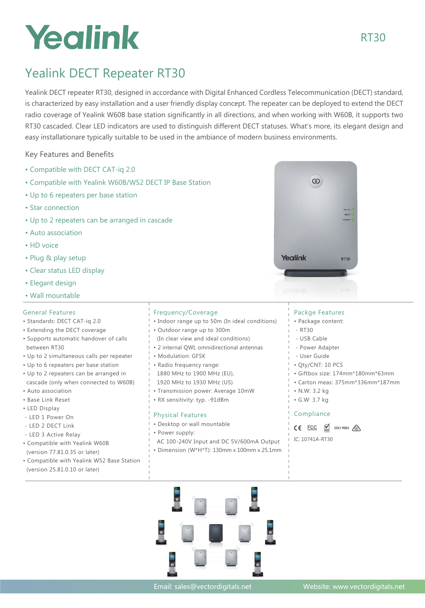# Yealink

# Yealink DECT Repeater RT30

Yealink DECT repeater RT30, designed in accordance with Digital Enhanced Cordless Telecommunication (DECT) standard, is characterized by easy installation and a user friendly display concept. The repeater can be deployed to extend the DECT radio coverage of Yealink W60B base station significantly in all directions, and when working with W60B, it supports two RT30 cascaded. Clear LED indicators are used to distinguish different DECT statuses. What's more, its elegant design and easy installationare typically suitable to be used in the ambiance of modern business environments.

Key Features and Benefits

- Compatible with DECT CAT-iq 2.0
- Compatible with Yealink W60B/W52 DECT IP Base Station
- Up to 6 repeaters per base station
- Star connection
- Up to 2 repeaters can be arranged in cascade
- Auto association
- HD voice
- Plug & play setup
- Clear status LED display
- Elegant design
- Wall mountable

## General Features

- Standards: DECT CAT-iq 2.0
- Extending the DECT coverage
- Supports automatic handover of calls between RT30
- Up to 2 simultaneous calls per repeater
- Up to 6 repeaters per base station
- Up to 2 repeaters can be arranged in cascade (only when connected to W60B)
- Auto association
- Base Link Reset
- LED Display
- LED 1 Power On
- LED 2 DECT Link
- LED 3 Active Relay
- Compatible with Yealink W60B (version 77.81.0.35 or later)
- Compatible with Yealink W52 Base Station (version 25.81.0.10 or later)
- Frequency/Coverage
- Indoor range up to 50m (In ideal conditions)
- Outdoor range up to 300m
- (In clear view and ideal conditions)
- 2 internal QWL omnidirectional antennas
- Modulation: GFSK
- Radio frequency range:
- 1880 MHz to 1900 MHz (EU), 1920 MHz to 1930 MHz (US)
- Transmission power: Average 10mW
- RX sensitivity: typ. -91dBm

## Physical Features

- Desktop or wall mountable
- Power supply:
- AC 100-240V Input and DC 5V/600mA Output
- Dimension (W\*H\*T): 130mm x 100mm x 25.1mm



- Package content:
- $-$  RT30
- USB Cable
- Power Adapter
- User Guide
- Qty/CNT: 10 PCS
- Giftbox size: 174mm\*180mm\*63mm
- Carton meas: 375mm\*336mm\*187mm
- N.W: 3.2 kg
- G.W: 3.7 kg

## Compliance

 $CE$  ECC  $\oslash$  ISO 9001  $\oslash$ 

IC: 10741A-RT30